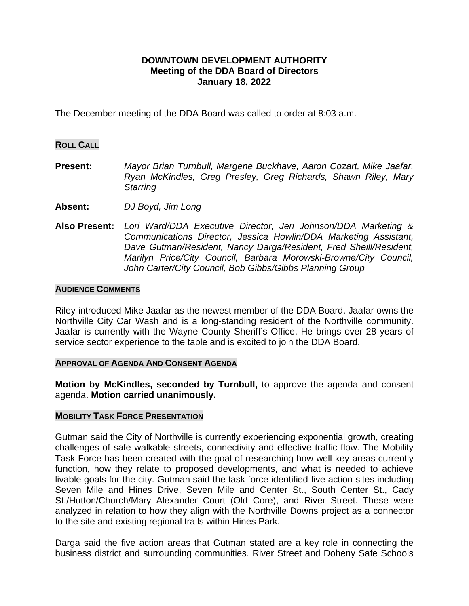# **DOWNTOWN DEVELOPMENT AUTHORITY Meeting of the DDA Board of Directors January 18, 2022**

The December meeting of the DDA Board was called to order at 8:03 a.m.

## **ROLL CALL**

- **Present:** *Mayor Brian Turnbull, Margene Buckhave, Aaron Cozart, Mike Jaafar, Ryan McKindles, Greg Presley, Greg Richards, Shawn Riley, Mary Starring*
- **Absent:** *DJ Boyd, Jim Long*
- **Also Present:** *Lori Ward/DDA Executive Director, Jeri Johnson/DDA Marketing & Communications Director, Jessica Howlin/DDA Marketing Assistant, Dave Gutman/Resident, Nancy Darga/Resident, Fred Sheill/Resident, Marilyn Price/City Council, Barbara Morowski-Browne/City Council, John Carter/City Council, Bob Gibbs/Gibbs Planning Group*

#### **AUDIENCE COMMENTS**

Riley introduced Mike Jaafar as the newest member of the DDA Board. Jaafar owns the Northville City Car Wash and is a long-standing resident of the Northville community. Jaafar is currently with the Wayne County Sheriff's Office. He brings over 28 years of service sector experience to the table and is excited to join the DDA Board.

## **APPROVAL OF AGENDA AND CONSENT AGENDA**

**Motion by McKindles, seconded by Turnbull,** to approve the agenda and consent agenda. **Motion carried unanimously.**

#### **MOBILITY TASK FORCE PRESENTATION**

Gutman said the City of Northville is currently experiencing exponential growth, creating challenges of safe walkable streets, connectivity and effective traffic flow. The Mobility Task Force has been created with the goal of researching how well key areas currently function, how they relate to proposed developments, and what is needed to achieve livable goals for the city. Gutman said the task force identified five action sites including Seven Mile and Hines Drive, Seven Mile and Center St., South Center St., Cady St./Hutton/Church/Mary Alexander Court (Old Core), and River Street. These were analyzed in relation to how they align with the Northville Downs project as a connector to the site and existing regional trails within Hines Park.

Darga said the five action areas that Gutman stated are a key role in connecting the business district and surrounding communities. River Street and Doheny Safe Schools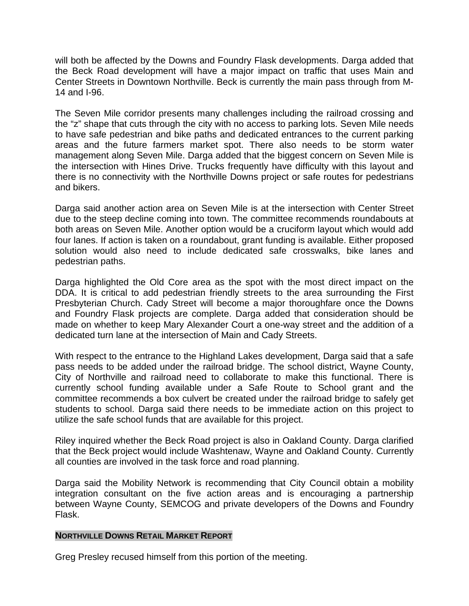will both be affected by the Downs and Foundry Flask developments. Darga added that the Beck Road development will have a major impact on traffic that uses Main and Center Streets in Downtown Northville. Beck is currently the main pass through from M-14 and I-96.

The Seven Mile corridor presents many challenges including the railroad crossing and the "z" shape that cuts through the city with no access to parking lots. Seven Mile needs to have safe pedestrian and bike paths and dedicated entrances to the current parking areas and the future farmers market spot. There also needs to be storm water management along Seven Mile. Darga added that the biggest concern on Seven Mile is the intersection with Hines Drive. Trucks frequently have difficulty with this layout and there is no connectivity with the Northville Downs project or safe routes for pedestrians and bikers.

Darga said another action area on Seven Mile is at the intersection with Center Street due to the steep decline coming into town. The committee recommends roundabouts at both areas on Seven Mile. Another option would be a cruciform layout which would add four lanes. If action is taken on a roundabout, grant funding is available. Either proposed solution would also need to include dedicated safe crosswalks, bike lanes and pedestrian paths.

Darga highlighted the Old Core area as the spot with the most direct impact on the DDA. It is critical to add pedestrian friendly streets to the area surrounding the First Presbyterian Church. Cady Street will become a major thoroughfare once the Downs and Foundry Flask projects are complete. Darga added that consideration should be made on whether to keep Mary Alexander Court a one-way street and the addition of a dedicated turn lane at the intersection of Main and Cady Streets.

With respect to the entrance to the Highland Lakes development, Darga said that a safe pass needs to be added under the railroad bridge. The school district, Wayne County, City of Northville and railroad need to collaborate to make this functional. There is currently school funding available under a Safe Route to School grant and the committee recommends a box culvert be created under the railroad bridge to safely get students to school. Darga said there needs to be immediate action on this project to utilize the safe school funds that are available for this project.

Riley inquired whether the Beck Road project is also in Oakland County. Darga clarified that the Beck project would include Washtenaw, Wayne and Oakland County. Currently all counties are involved in the task force and road planning.

Darga said the Mobility Network is recommending that City Council obtain a mobility integration consultant on the five action areas and is encouraging a partnership between Wayne County, SEMCOG and private developers of the Downs and Foundry Flask.

## **NORTHVILLE DOWNS RETAIL MARKET REPORT**

Greg Presley recused himself from this portion of the meeting.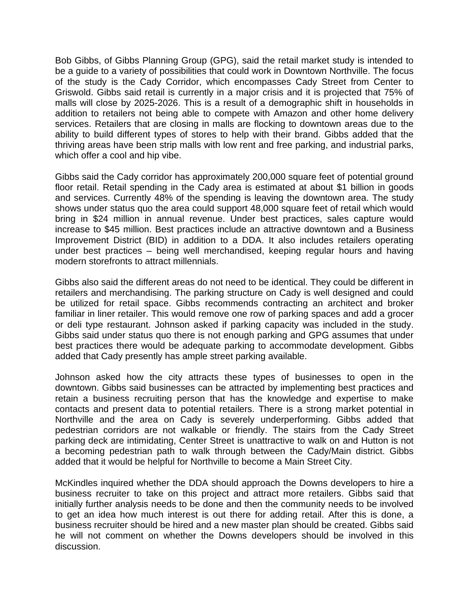Bob Gibbs, of Gibbs Planning Group (GPG), said the retail market study is intended to be a guide to a variety of possibilities that could work in Downtown Northville. The focus of the study is the Cady Corridor, which encompasses Cady Street from Center to Griswold. Gibbs said retail is currently in a major crisis and it is projected that 75% of malls will close by 2025-2026. This is a result of a demographic shift in households in addition to retailers not being able to compete with Amazon and other home delivery services. Retailers that are closing in malls are flocking to downtown areas due to the ability to build different types of stores to help with their brand. Gibbs added that the thriving areas have been strip malls with low rent and free parking, and industrial parks, which offer a cool and hip vibe.

Gibbs said the Cady corridor has approximately 200,000 square feet of potential ground floor retail. Retail spending in the Cady area is estimated at about \$1 billion in goods and services. Currently 48% of the spending is leaving the downtown area. The study shows under status quo the area could support 48,000 square feet of retail which would bring in \$24 million in annual revenue. Under best practices, sales capture would increase to \$45 million. Best practices include an attractive downtown and a Business Improvement District (BID) in addition to a DDA. It also includes retailers operating under best practices – being well merchandised, keeping regular hours and having modern storefronts to attract millennials.

Gibbs also said the different areas do not need to be identical. They could be different in retailers and merchandising. The parking structure on Cady is well designed and could be utilized for retail space. Gibbs recommends contracting an architect and broker familiar in liner retailer. This would remove one row of parking spaces and add a grocer or deli type restaurant. Johnson asked if parking capacity was included in the study. Gibbs said under status quo there is not enough parking and GPG assumes that under best practices there would be adequate parking to accommodate development. Gibbs added that Cady presently has ample street parking available.

Johnson asked how the city attracts these types of businesses to open in the downtown. Gibbs said businesses can be attracted by implementing best practices and retain a business recruiting person that has the knowledge and expertise to make contacts and present data to potential retailers. There is a strong market potential in Northville and the area on Cady is severely underperforming. Gibbs added that pedestrian corridors are not walkable or friendly. The stairs from the Cady Street parking deck are intimidating, Center Street is unattractive to walk on and Hutton is not a becoming pedestrian path to walk through between the Cady/Main district. Gibbs added that it would be helpful for Northville to become a Main Street City.

McKindles inquired whether the DDA should approach the Downs developers to hire a business recruiter to take on this project and attract more retailers. Gibbs said that initially further analysis needs to be done and then the community needs to be involved to get an idea how much interest is out there for adding retail. After this is done, a business recruiter should be hired and a new master plan should be created. Gibbs said he will not comment on whether the Downs developers should be involved in this discussion.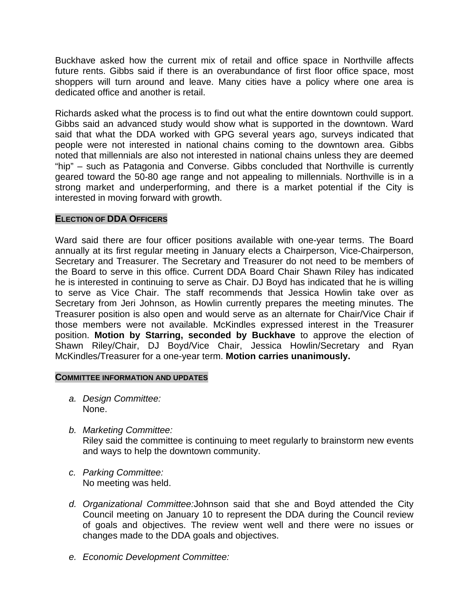Buckhave asked how the current mix of retail and office space in Northville affects future rents. Gibbs said if there is an overabundance of first floor office space, most shoppers will turn around and leave. Many cities have a policy where one area is dedicated office and another is retail.

Richards asked what the process is to find out what the entire downtown could support. Gibbs said an advanced study would show what is supported in the downtown. Ward said that what the DDA worked with GPG several years ago, surveys indicated that people were not interested in national chains coming to the downtown area. Gibbs noted that millennials are also not interested in national chains unless they are deemed "hip" – such as Patagonia and Converse. Gibbs concluded that Northville is currently geared toward the 50-80 age range and not appealing to millennials. Northville is in a strong market and underperforming, and there is a market potential if the City is interested in moving forward with growth.

# **ELECTION OF DDA OFFICERS**

Ward said there are four officer positions available with one-year terms. The Board annually at its first regular meeting in January elects a Chairperson, Vice-Chairperson, Secretary and Treasurer. The Secretary and Treasurer do not need to be members of the Board to serve in this office. Current DDA Board Chair Shawn Riley has indicated he is interested in continuing to serve as Chair. DJ Boyd has indicated that he is willing to serve as Vice Chair. The staff recommends that Jessica Howlin take over as Secretary from Jeri Johnson, as Howlin currently prepares the meeting minutes. The Treasurer position is also open and would serve as an alternate for Chair/Vice Chair if those members were not available. McKindles expressed interest in the Treasurer position. **Motion by Starring, seconded by Buckhave** to approve the election of Shawn Riley/Chair, DJ Boyd/Vice Chair, Jessica Howlin/Secretary and Ryan McKindles/Treasurer for a one-year term. **Motion carries unanimously.**

## **COMMITTEE INFORMATION AND UPDATES**

- *a. Design Committee:* None.
- *b. Marketing Committee:*

Riley said the committee is continuing to meet regularly to brainstorm new events and ways to help the downtown community.

- *c. Parking Committee:* No meeting was held.
- *d. Organizational Committee:*Johnson said that she and Boyd attended the City Council meeting on January 10 to represent the DDA during the Council review of goals and objectives. The review went well and there were no issues or changes made to the DDA goals and objectives.
- *e. Economic Development Committee:*